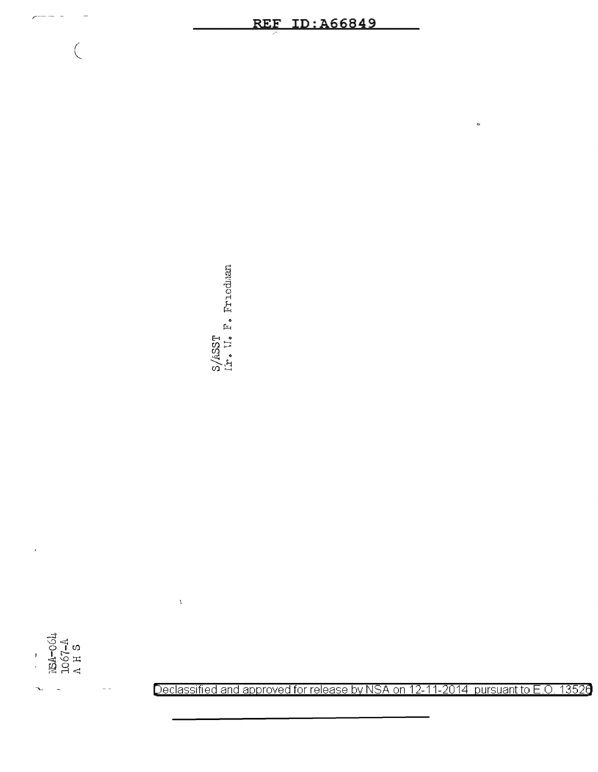$\begin{array}{l} \mathbb{R}\text{A--}\text{OOL} \\ \mathbb{R}\text{A--}\text{OOL} \\ \text{LO67--A} \\ \text{A H S} \end{array}$ 

l.

 $\left($ 

S/ASST<br>Ir. U. F. Friedman

# **REF ID: A66849**

Declassified and approved for release by NSA on 12-11-2014 pursuant to E.O. 13526

 $\ddot{\circ}$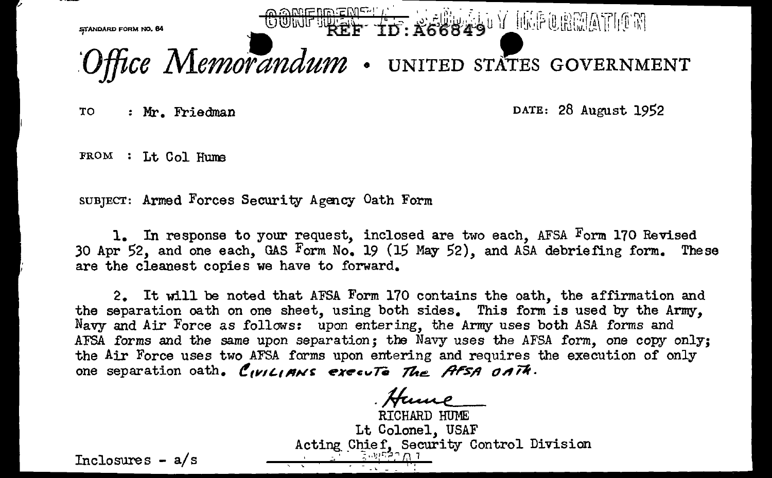

TO : Mr. Friedman DATE: 28 August 1952

FROM : Lt Col Hume

SUBJECT: Armed Forces Security Agency Oath Form

1. In response to your request, inclosed are two each, AFSA Form 170 Revised 30 Apr 52, and one each, GAS Form No. 19 (15 May 52), and ASA debriefing form. These are the cleanest copies we have to forward.

2. It will be noted that AFSA Form 170 contains the oath, the affirmation and the separation oath on one sheet, using both sides. This form is used by the Army, Navy and Air Force as follows: upon entering, the Army uses both ASA forms and AFSA forms and the same upon separation; the Navy uses the AFSA form, one copy only; the Air Force uses two AFSA forms upon entering and requires the execution of only one separation oath. CIVILIANS execute The AFSA OATH.

. Hume RICHARD HUME Lt Colonel, USAF Acting Chief, Security Control Division

Inclosures  $- a/s$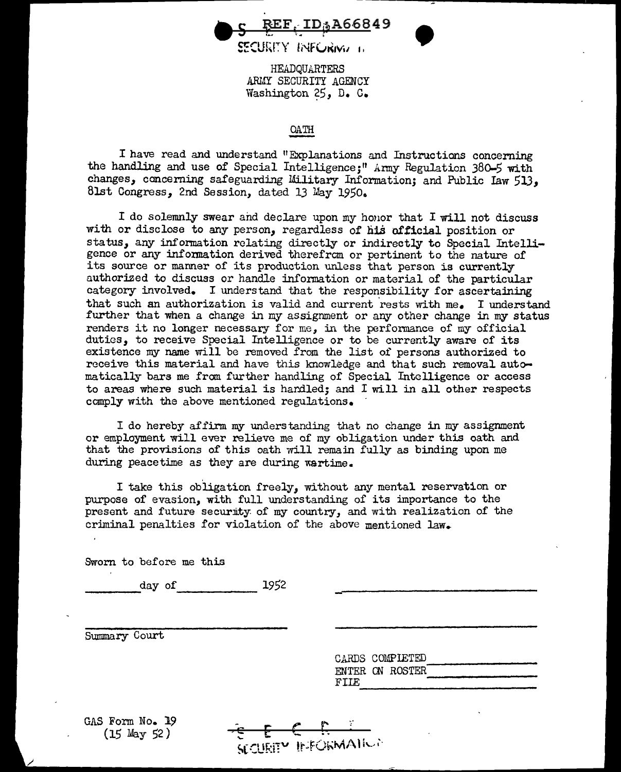REF ID-A66849

SECUREY INF CRIMA 1.

HEADQUARTERS ARMY SECURITY AGENCY Washington 25, D. C.

## OATH

I have read and understand "Explanations and Instructions concerning the handling and use of Special Intelligence;" Army Regulation 380-5 with changes, concerning safeguarding Military Information; and Public Iaw 513. 8lst Congress, 2nd Session, dated 13 May 1950.

I do solemnly swear and declare upon my honor that I will not discuss with or disclose to any person, regardless of his official position or status, any infonnation relating directly or indirectly to Special Intelligence or any information derived therefrcm or pertinent to the nature of its source or manner of its production unless that person is currently authorized to discuss or handle information or material of the particular category involved. I understand that the responsibility for ascertaining that such an authorization is valid and current rests with  $me_{\bullet}$  I understand further that when a change in my assignment or any other change in my status renders it no longer necessary for me, in the performance of my official duties, to receive Special Intelligence or to be currently aware of its existence my name will be removed from the list of persons authorized to receive this material and have this knowledge and that such removal automatically bars me from further handling of Special Intelligence or access to areas where such material is hardled; and I will in all other respects comply with the above mentioned regulations.

I do hereby affirm my understanding that no change in my assignment or employment will ever relieve me of my obligation under this oath and that the provisions of this oath rill remain fully as binding upon me during peacetime as they are during wartime.

I take this obligation freely, without any mental reservation or purpose of evasion, with full understanding of its importance to the present and future security of my country, and with realization of the criminal penalties for violation of the above mentioned law.

SECURITY INFORMATION

Sworn to before me this

 $1952$ day of

Summary Court

|      | CARDS COMPIETED |  |
|------|-----------------|--|
|      | ENTER ON ROSTER |  |
| FIIE |                 |  |

•

GAS Form No. 19 (15 May 52)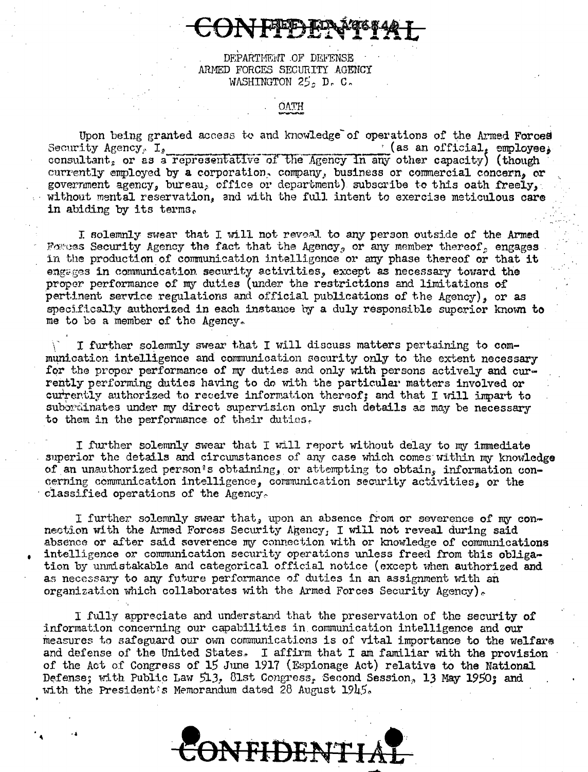DEPARTMENT OF DEFENSE ARMED FORCES SECURITY AGENCY WASHINGTON  $25<sub>5</sub>$  D. C.

Upon being granted access to and knowledge of operations of the Armed Forces Security Agency,  $I_2$  $\cdot$  (as an official, employee, consultant, or as a representative of the Agency in any other capacity) (though currently employed by a corporation, company, business or commercial concern, or government agency, bureau, office or department) subscribe to this oath freely, without mental reservation, and with the full intent to exercise meticulous care in abiding by its terms.

I solemnly swear that I will not reveal to any person outside of the Armed Foress Security Agency the fact that the Agency, or any member thereof, engages in the production of communication intelligence or any phase thereof or that it engages in communication security activities, except as necessary toward the proper performance of my duties (under the restrictions and limitations of pertinent service regulations and official publications of the Agency), or as specifically authorized in each instance by a duly responsible superior known to me to be a member of the Agency.

I further solemnly swear that I will discuss matters pertaining to communication intelligence and communication security only to the extent necessary for the proper performance of my duties and only with persons actively and currently performing duties having to do with the particular matters involved or currently authorized to receive information thereof; and that I will impart to subbrainates under my direct supervision only such details as may be necessary to them in the performance of their duties.

I further solemnly swear that I will report without delay to my immediate superior the details and circumstances of any case which comes within my knowledge of an unauthorized person's obtaining, or attempting to obtain, information concerning communication intelligence, communication security activities, or the classified operations of the Agency.

I further solemnly swear that, upon an absence from or severence of my connection with the Armed Forces Security Agency, I will not reveal during said absence or after said severence my connection with or knowledge of communications intelligence or communication security operations unless freed from this obligation by unmistakable and categorical official notice (except when authorized and as necessary to any future performance of duties in an assignment with an organization which collaborates with the Armed Forces Security Agency).

I fully appreciate and understand that the preservation of the security of information concerning our capabilities in communication intelligence and our measures to safeguard our own communications is of vital importance to the welfare and defense of the United States. I affirm that I am familiar with the provision of the Act of Congress of 15 June 1917 (Espionage Act) relative to the National Defense; with Public Law 513, 81st Congress, Second Session, 13 May 1950; and with the President's Memorandum dated 28 August  $1945.$ 

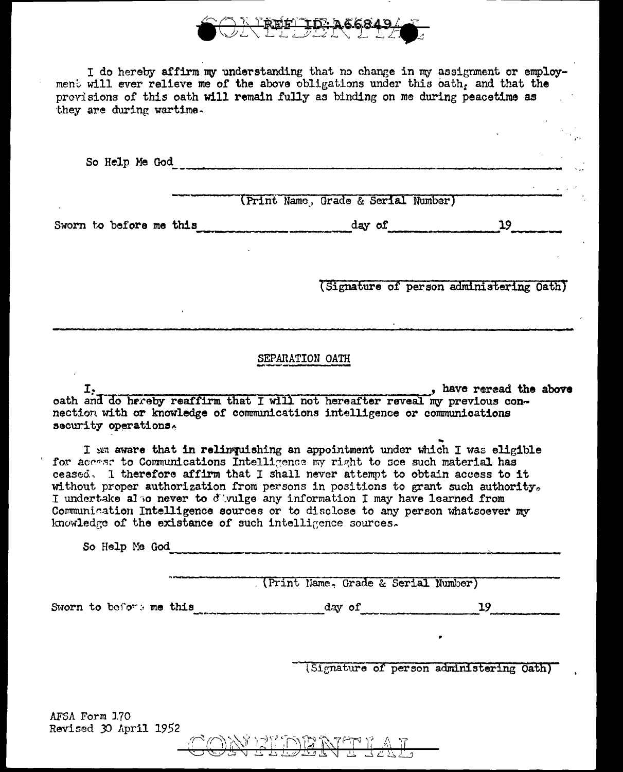

I do hereby affirm my understanding that no change in my assignment or employment will ever relieve me of the above obligations under this oath, and that the provisions of this oath will remain fully as binding on me during peacetime as they are during wartime.

So Help Me God (Print Name, Grade & Serial Number) Sworn to before me this day of 19 (Signature of person administering Oath) SEPARATION OATH I. phave reread the above part of the cost in that I will not hereafter reveal my previous connection with or knowledge of communications intelligence or communications security operations. I am aware that in relinquishing an appointment under which I was eligible for access to Communications Intelligence my right to see such material has ceased. I therefore affirm that I shall never attempt to obtain access to it without proper authorization from persons in positions to grant such authority. I undertake also never to d'uulge any information I may have learned from Communication Intelligence sources or to disclose to any person whatsoever my knowledge of the existance of such intelligence sources. So Help Me God (Print Name, Grade & Serial Number) Sworn to before me this day of 19 19

(Signature of person administering Oath)

AFSA Form 1.70 Revised 30 April 1952